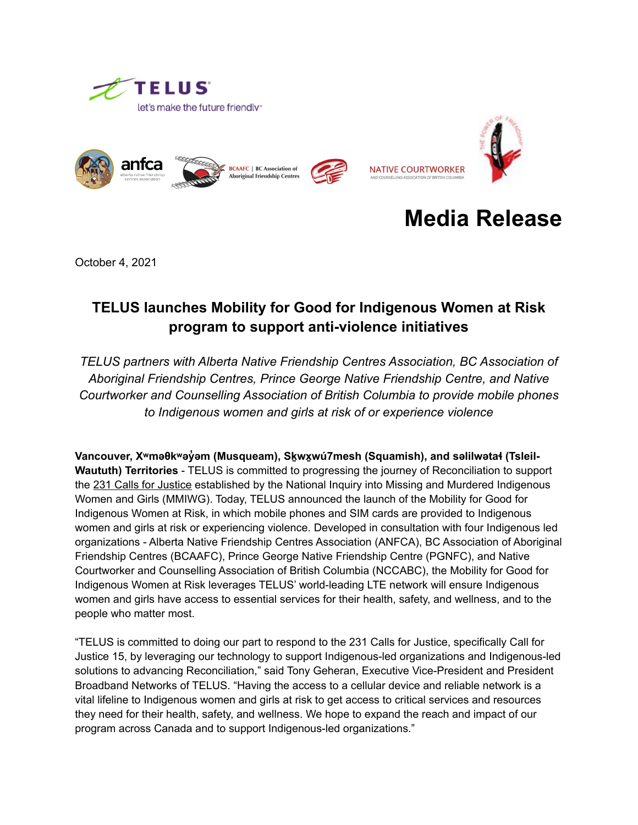





# **Media Release**

October 4, 2021

## **TELUS launches Mobility for Good for Indigenous Women at Risk program to support anti-violence initiatives**

*TELUS partners with Alberta Native Friendship Centres Association, BC Association of Aboriginal Friendship Centres, Prince George Native Friendship Centre, and Native Courtworker and Counselling Association of British Columbia to provide mobile phones to Indigenous women and girls at risk of or experience violence*

Vancouver, X<sup>w</sup>məθk<sup>w</sup>əyəm (Musqueam), Skwxwú7mesh (Squamish), and səlilwətał (Tsleil-**Waututh) Territories** - TELUS is committed to progressing the journey of Reconciliation to support the [231 Calls for Justice](https://www.mmiwg-ffada.ca/wp-content/uploads/2019/06/Calls_for_Justice.pdf) established by the National Inquiry into Missing and Murdered Indigenous Women and Girls (MMIWG). Today, TELUS announced the launch of the Mobility for Good for Indigenous Women at Risk, in which mobile phones and SIM cards are provided to Indigenous women and girls at risk or experiencing violence. Developed in consultation with four Indigenous led organizations - Alberta Native Friendship Centres Association (ANFCA), BC Association of Aboriginal Friendship Centres (BCAAFC), Prince George Native Friendship Centre (PGNFC), and Native Courtworker and Counselling Association of British Columbia (NCCABC), the Mobility for Good for Indigenous Women at Risk leverages TELUS' world-leading LTE network will ensure Indigenous women and girls have access to essential services for their health, safety, and wellness, and to the people who matter most.

"TELUS is committed to doing our part to respond to the 231 Calls for Justice, specifically Call for Justice 15, by leveraging our technology to support Indigenous-led organizations and Indigenous-led solutions to advancing Reconciliation," said Tony Geheran, Executive Vice-President and President Broadband Networks of TELUS. "Having the access to a cellular device and reliable network is a vital lifeline to Indigenous women and girls at risk to get access to critical services and resources they need for their health, safety, and wellness. We hope to expand the reach and impact of our program across Canada and to support Indigenous-led organizations."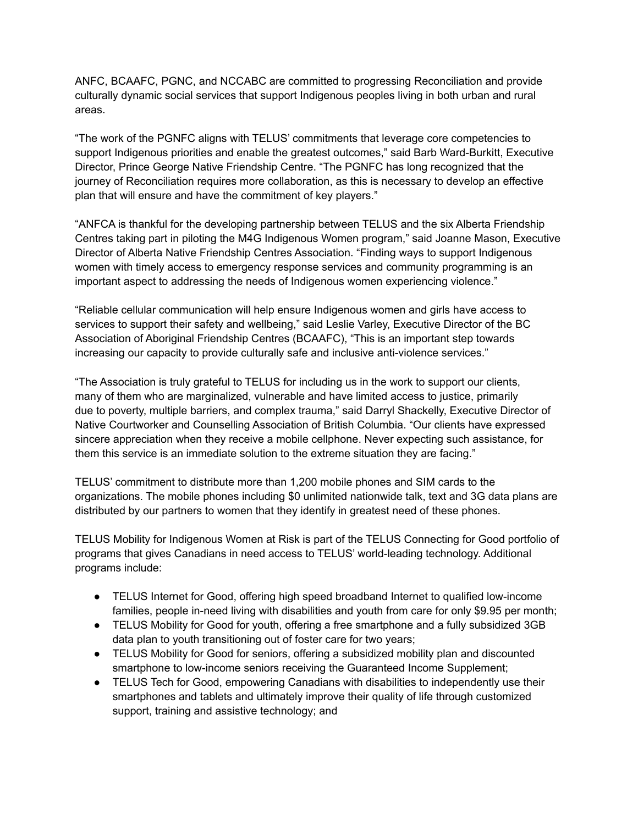ANFC, BCAAFC, PGNC, and NCCABC are committed to progressing Reconciliation and provide culturally dynamic social services that support Indigenous peoples living in both urban and rural areas.

"The work of the PGNFC aligns with TELUS' commitments that leverage core competencies to support Indigenous priorities and enable the greatest outcomes," said Barb Ward-Burkitt, Executive Director, Prince George Native Friendship Centre. "The PGNFC has long recognized that the journey of Reconciliation requires more collaboration, as this is necessary to develop an effective plan that will ensure and have the commitment of key players."

"ANFCA is thankful for the developing partnership between TELUS and the six Alberta Friendship Centres taking part in piloting the M4G Indigenous Women program," said Joanne Mason, Executive Director of Alberta Native Friendship Centres Association. "Finding ways to support Indigenous women with timely access to emergency response services and community programming is an important aspect to addressing the needs of Indigenous women experiencing violence."

"Reliable cellular communication will help ensure Indigenous women and girls have access to services to support their safety and wellbeing," said Leslie Varley, Executive Director of the BC Association of Aboriginal Friendship Centres (BCAAFC), "This is an important step towards increasing our capacity to provide culturally safe and inclusive anti-violence services."

"The Association is truly grateful to TELUS for including us in the work to support our clients, many of them who are marginalized, vulnerable and have limited access to justice, primarily due to poverty, multiple barriers, and complex trauma," said Darryl Shackelly, Executive Director of Native Courtworker and Counselling Association of British Columbia. "Our clients have expressed sincere appreciation when they receive a mobile cellphone. Never expecting such assistance, for them this service is an immediate solution to the extreme situation they are facing."

TELUS' commitment to distribute more than 1,200 mobile phones and SIM cards to the organizations. The mobile phones including \$0 unlimited nationwide talk, text and 3G data plans are distributed by our partners to women that they identify in greatest need of these phones.

TELUS Mobility for Indigenous Women at Risk is part of the TELUS Connecting for Good portfolio of programs that gives Canadians in need access to TELUS' world-leading technology. Additional programs include:

- TELUS Internet for Good, offering high speed broadband Internet to qualified low-income families, people in-need living with disabilities and youth from care for only \$9.95 per month;
- TELUS Mobility for Good for youth, offering a free smartphone and a fully subsidized 3GB data plan to youth transitioning out of foster care for two years;
- TELUS Mobility for Good for seniors, offering a subsidized mobility plan and discounted smartphone to low-income seniors receiving the Guaranteed Income Supplement;
- TELUS Tech for Good, empowering Canadians with disabilities to independently use their smartphones and tablets and ultimately improve their quality of life through customized support, training and assistive technology; and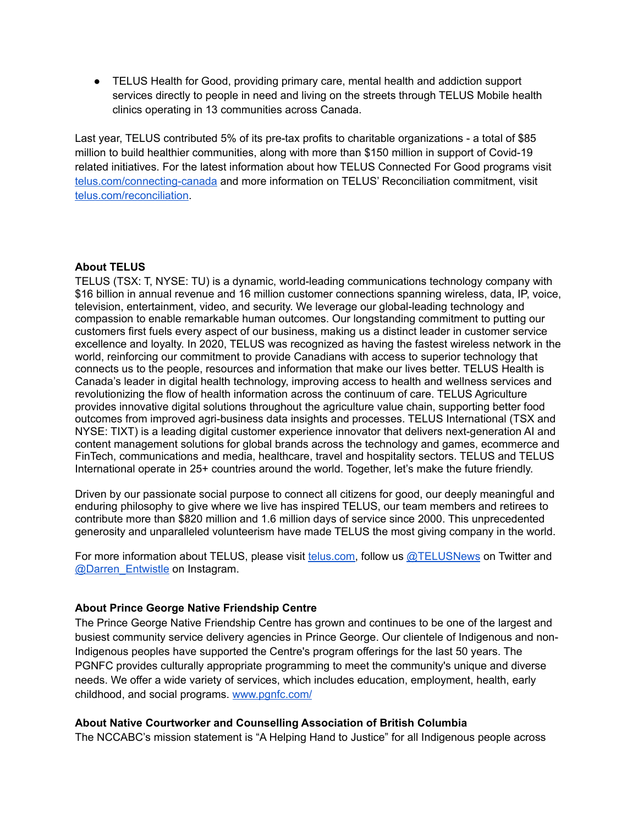● TELUS Health for Good, providing primary care, mental health and addiction support services directly to people in need and living on the streets through TELUS Mobile health clinics operating in 13 communities across Canada.

Last year, TELUS contributed 5% of its pre-tax profits to charitable organizations - a total of \$85 million to build healthier communities, along with more than \$150 million in support of Covid-19 related initiatives. For the latest information about how TELUS Connected For Good programs visit [telus.com/connecting-canada](https://www.telus.com/en/social-impact/connecting-canada) and more information on TELUS' Reconciliation commitment, visit [telus.com/reconciliation](https://www.telus.com/en/social-impact/connecting-canada/indigenous-reconciliation).

### **About TELUS**

TELUS (TSX: T, NYSE: TU) is a dynamic, world-leading communications technology company with \$16 billion in annual revenue and 16 million customer connections spanning wireless, data, IP, voice, television, entertainment, video, and security. We leverage our global-leading technology and compassion to enable remarkable human outcomes. Our longstanding commitment to putting our customers first fuels every aspect of our business, making us a distinct leader in customer service excellence and loyalty. In 2020, TELUS was recognized as having the fastest wireless network in the world, reinforcing our commitment to provide Canadians with access to superior technology that connects us to the people, resources and information that make our lives better. TELUS Health is Canada's leader in digital health technology, improving access to health and wellness services and revolutionizing the flow of health information across the continuum of care. TELUS Agriculture provides innovative digital solutions throughout the agriculture value chain, supporting better food outcomes from improved agri-business data insights and processes. TELUS International (TSX and NYSE: TIXT) is a leading digital customer experience innovator that delivers next-generation AI and content management solutions for global brands across the technology and games, ecommerce and FinTech, communications and media, healthcare, travel and hospitality sectors. TELUS and TELUS International operate in 25+ countries around the world. Together, let's make the future friendly.

Driven by our passionate social purpose to connect all citizens for good, our deeply meaningful and enduring philosophy to give where we live has inspired TELUS, our team members and retirees to contribute more than \$820 million and 1.6 million days of service since 2000. This unprecedented generosity and unparalleled volunteerism have made TELUS the most giving company in the world.

For more information about TELUS, please visit [telus.com,](https://www.telus.com/en/) follow us [@TELUSNews](https://twitter.com/telusnews?lang=en) on Twitter and [@Darren\\_Entwistle](https://www.instagram.com/darren_entwistle/?hl=en) on Instagram.

### **About Prince George Native Friendship Centre**

The Prince George Native Friendship Centre has grown and continues to be one of the largest and busiest community service delivery agencies in Prince George. Our clientele of Indigenous and non-Indigenous peoples have supported the Centre's program offerings for the last 50 years. The PGNFC provides culturally appropriate programming to meet the community's unique and diverse needs. We offer a wide variety of services, which includes education, employment, health, early childhood, and social programs. [www.pgnfc.com/](http://www.pgnfc.com/) 

### **About Native Courtworker and Counselling Association of British Columbia**

The NCCABC's mission statement is "A Helping Hand to Justice" for all Indigenous people across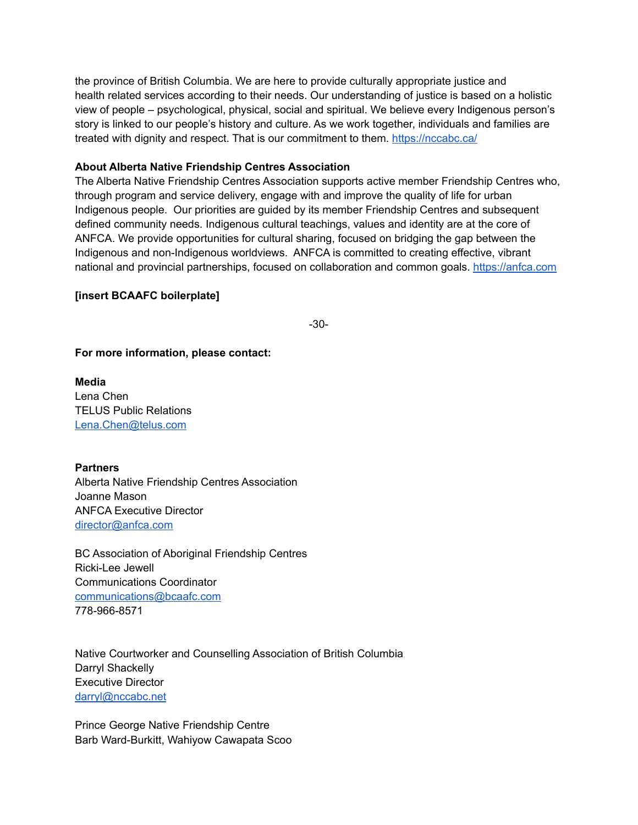the province of British Columbia. We are here to provide culturally appropriate justice and health related services according to their needs. Our understanding of justice is based on a holistic view of people – psychological, physical, social and spiritual. We believe every Indigenous person's story is linked to our people's history and culture. As we work together, individuals and families are treated with dignity and respect. That is our commitment to them.<https://nccabc.ca/>

### **About Alberta Native Friendship Centres Association**

The Alberta Native Friendship Centres Association supports active member Friendship Centres who, through program and service delivery, engage with and improve the quality of life for urban Indigenous people. Our priorities are guided by its member Friendship Centres and subsequent defined community needs. Indigenous cultural teachings, values and identity are at the core of ANFCA. We provide opportunities for cultural sharing, focused on bridging the gap between the Indigenous and non-Indigenous worldviews. ANFCA is committed to creating effective, vibrant national and provincial partnerships, focused on collaboration and common goals.<https://anfca.com>

#### **[insert BCAAFC boilerplate]**

-30-

**For more information, please contact:** 

**Media**  Lena Chen TELUS Public Relations [Lena.Chen@telus.com](mailto:Lena.Chen@telus.com) 

**Partners** 

Alberta Native Friendship Centres Association Joanne Mason ANFCA Executive Director [director@anfca.com](mailto:director@anfca.com)

BC Association of Aboriginal Friendship Centres Ricki-Lee Jewell Communications Coordinator [communications@bcaafc.com](mailto:communications@bcaafc.com) 778-966-8571

Native Courtworker and Counselling Association of British Columbia Darryl Shackelly Executive Director [darryl@nccabc.net](mailto:darryl@nccabc.net) 

Prince George Native Friendship Centre Barb Ward-Burkitt, Wahiyow Cawapata Scoo